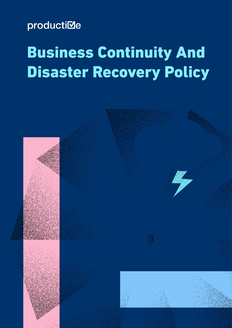# productiMe

# **Business Continuity And Disaster Recovery Policy**

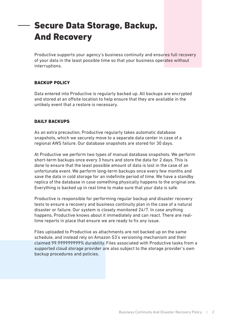# Secure Data Storage, Backup, And Recovery

Productive supports your agency's business continuity and ensures full recovery of your data in the least possible time so that your business operates without interruptions.

# BACKUP POLICY

Data entered into Productive is regularly backed up. All backups are encrypted and stored at an offsite location to help ensure that they are available in the unlikely event that a restore is necessary.

# DAILY BACKUPS

As an extra precaution, Productive regularly takes automatic database snapshots, which we securely move to a separate data center in case of a regional AWS failure. Our database snapshots are stored for 30 days.

At Productive we perform two types of manual database snapshots. We perform short-term backups once every 3 hours and store the data for 2 days. This is done to ensure that the least possible amount of data is lost in the case of an unfortunate event. We perform long-term backups once every few months and save the data in cold storage for an indefinite period of time. We have a standby replica of the database in case something physically happens to the original one. Everything is backed up in real time to make sure that your data is safe.

Productive is responsible for performing regular backup and disaster recovery tests to ensure a recovery and business continuity plan in the case of a natural disaster or failure. Our system is closely monitored 24/7. In case anything happens, Productive knows about it immediately and can react. There are realtime reports in place that ensure we are ready to fix any issue.

Files uploaded to Productive as attachments are not backed up on the same schedule, and instead rely on Amazon S3's versioning mechanism and their claimed 99.999999999% durability. Files associated with Productive tasks from a supported cloud storage provider are also subject to the storage provider's own backup procedures and policies.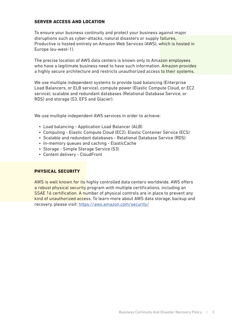## SERVER ACCESS AND LOCATION

To ensure your business continuity and protect your business against major disruptions such as cyber-attacks, natural disasters or supply failures, Productive is hosted entirely on Amazon Web Services (AWS), which is hosted in Europe (eu-west-1).

The precise location of AWS data centers is known only to Amazon employees who have a legitimate business need to have such information. Amazon provides a highly secure architecture and restricts unauthorized access to their systems.

We use multiple independent systems to provide load balancing (Enterprise Load Balancers, or ELB service), compute power (Elastic Compute Cloud, or EC2 service), scalable and redundant databases (Relational Database Service, or RDS) and storage (S3, EFS and Glacier).

We use multiple independent AWS services in order to achieve:

- Load balancing Application Load Balancer (ALB)
- Computing Elastic Compute Cloud (EC2), Elastic Container Service (ECS)
- Scalable and redundant databases Relational Database Service (RDS)
- In-memory queues and caching ElasticCache
- Storage Simple Storage Service (S3)
- Content delivery CloudFront

#### PHYSICAL SECURITY

AWS is well known for its highly controlled data centers worldwide. AWS ofers a robust physical security program with multiple certifications, including an **SSAE 16 certification. A number of physical controls are in place to prevent any** kind of unauthorized access. To learn more about AWS data storage, backup and recovery, please visit: https://aws.amazon.com/security/